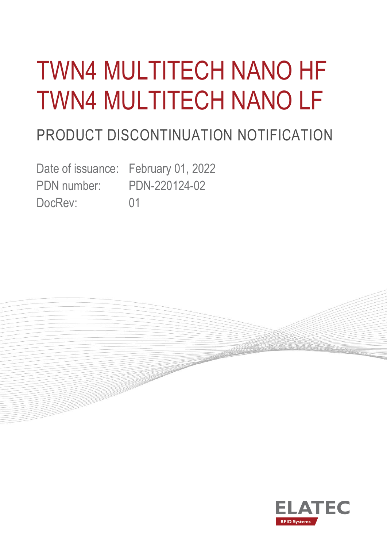# TWN4 MULTITECH NANO HF TWN4 MULTITECH NANO LF

# PRODUCT DISCONTINUATION NOTIFICATION

Date of issuance: February 01, 2022 PDN number: PDN-220124-02 DocRev: 01



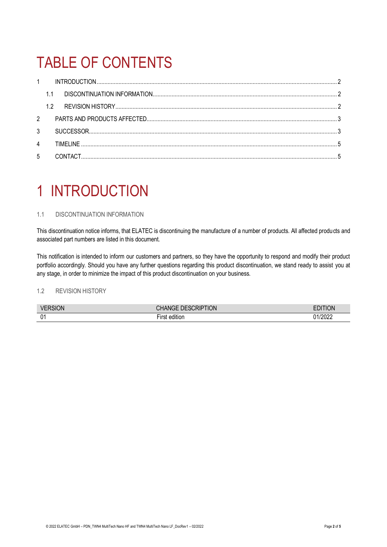### TABLE OF CONTENTS

| $\mathbf{1}$   |    |           |  |
|----------------|----|-----------|--|
|                |    |           |  |
|                | 12 |           |  |
| $2^{\circ}$    |    |           |  |
| 3              |    |           |  |
| $\overline{4}$ |    | TIMFI INF |  |
| 5              |    |           |  |

### <span id="page-1-0"></span>1 INTRODUCTION

### <span id="page-1-1"></span>1.1 DISCONTINUATION INFORMATION

This discontinuation notice informs, that ELATEC is discontinuing the manufacture of a number of products. All affected products and associated part numbers are listed in this document.

This notification is intended to inform our customers and partners, so they have the opportunity to respond and modify their product portfolio accordingly. Should you have any further questions regarding this product discontinuation, we stand ready to assist you at any stage, in order to minimize the impact of this product discontinuation on your business.

### <span id="page-1-2"></span>1.2 REVISION HISTORY

| <b>VERSION</b>     | NOITIN<br>. DESCRIPT'<br>N(i) | ΊΟΝ         |
|--------------------|-------------------------------|-------------|
| $\mathsf{n}$<br>∪∣ | a m<br>edition                | /2022<br>ገ1 |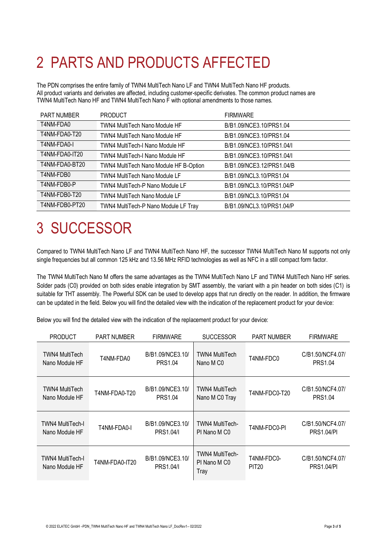# <span id="page-2-0"></span>2 PARTS AND PRODUCTS AFFECTED

The PDN comprises the entire family of TWN4 MultiTech Nano LF and TWN4 MultiTech Nano HF products. All product variants and derivates are affected, including customer-specific derivates. The common product names are TWN4 MultiTech Nano HF and TWN4 MultiTech Nano F with optional amendments to those names.

| <b>PART NUMBER</b> | <b>PRODUCT</b>                         | <b>FIRMWARE</b>           |
|--------------------|----------------------------------------|---------------------------|
| T4NM-FDA0          | <b>TWN4 MultiTech Nano Module HF</b>   | B/B1.09/NCE3.10/PRS1.04   |
| T4NM-FDA0-T20      | <b>TWN4 MultiTech Nano Module HF</b>   | B/B1.09/NCE3.10/PRS1.04   |
| T4NM-FDA0-I        | TWN4 MultiTech-I Nano Module HF        | B/B1.09/NCE3.10/PRS1.04/L |
| T4NM-FDA0-IT20     | TWN4 MultiTech-I Nano Module HF        | B/B1.09/NCE3.10/PRS1.04/I |
| T4NM-FDA0-BT20     | TWN4 MultiTech Nano Module HF B-Option | B/B1.09/NCE3.12/PRS1.04/B |
| T4NM-FDB0          | <b>TWN4 MultiTech Nano Module LF</b>   | B/B1.09/NCL3.10/PRS1.04   |
| T4NM-FDB0-P        | <b>TWN4 MultiTech-P Nano Module LF</b> | B/B1.09/NCL3.10/PRS1.04/P |
| T4NM-FDB0-T20      | <b>TWN4 MultiTech Nano Module LF</b>   | B/B1.09/NCL3.10/PRS1.04   |
| T4NM-FDB0-PT20     | TWN4 MultiTech-P Nano Module LF Tray   | B/B1.09/NCL3.10/PRS1.04/P |

### <span id="page-2-1"></span>3 SUCCESSOR

Compared to TWN4 MultiTech Nano LF and TWN4 MultiTech Nano HF, the successor TWN4 MultiTech Nano M supports not only single frequencies but all common 125 kHz and 13.56 MHz RFID technologies as well as NFC in a still compact form factor.

The TWN4 MultiTech Nano M offers the same advantages as the TWN4 MultiTech Nano LF and TWN4 MultiTech Nano HF series. Solder pads (C0) provided on both sides enable integration by SMT assembly, the variant with a pin header on both sides (C1) is suitable for THT assembly. The Powerful SDK can be used to develop apps that run directly on the reader. In addition, the firmware can be updated in the field. Below you will find the detailed view with the indication of the replacement product for your device:

Below you will find the detailed view with the indication of the replacement product for your device:

| <b>PRODUCT</b>                            | <b>PART NUMBER</b> | <b>FIRMWARE</b>                      | <b>SUCCESSOR</b>                                           | <b>PART NUMBER</b>         | <b>FIRMWARE</b>                       |
|-------------------------------------------|--------------------|--------------------------------------|------------------------------------------------------------|----------------------------|---------------------------------------|
| <b>TWN4 MultiTech</b><br>Nano Module HF   | T4NM-FDA0          | B/B1.09/NCE3.10/<br><b>PRS1.04</b>   | <b>TWN4 MultiTech</b><br>Nano M C <sub>0</sub>             | T4NM-FDC0                  | C/B1.50/NCF4.07/<br><b>PRS1.04</b>    |
| TWN4 MultiTech<br>Nano Module HF          | T4NM-FDA0-T20      | B/B1.09/NCE3.10/<br><b>PRS1.04</b>   | <b>TWN4 MultiTech</b><br>Nano M C0 Tray                    | T4NM-FDC0-T20              | C/B1.50/NCF4.07/<br><b>PRS1.04</b>    |
| TWN4 MultiTech-I<br>Nano Module HF        | T4NM-FDA0-I        | B/B1.09/NCE3.10/<br><b>PRS1.04/I</b> | TWN4 MultiTech-<br>PI Nano M CO                            | T4NM-FDC0-PI               | C/B1.50/NCF4.07/<br><b>PRS1.04/PI</b> |
| <b>TWN4 MultiTech-I</b><br>Nano Module HF | T4NM-FDA0-IT20     | B/B1.09/NCE3.10/<br><b>PRS1.04/I</b> | <b>TWN4 MultiTech-</b><br>PI Nano M C <sub>0</sub><br>Tray | T4NM-FDC0-<br><b>PIT20</b> | C/B1.50/NCF4.07/<br><b>PRS1.04/PI</b> |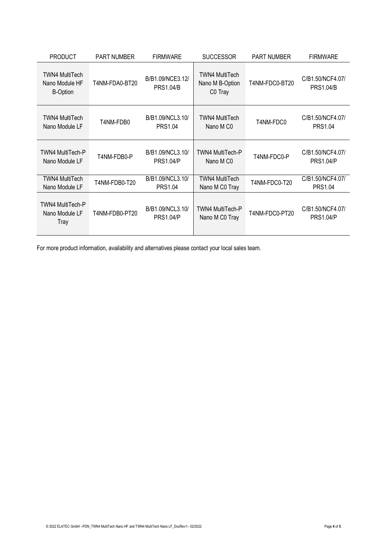| <b>PRODUCT</b>                                             | <b>PART NUMBER</b> | <b>FIRMWARE</b>                      | <b>SUCCESSOR</b>                                    | <b>PART NUMBER</b> | <b>FIRMWARE</b>                      |
|------------------------------------------------------------|--------------------|--------------------------------------|-----------------------------------------------------|--------------------|--------------------------------------|
| <b>TWN4 MultiTech</b><br>Nano Module HF<br><b>B-Option</b> | T4NM-FDA0-BT20     | B/B1.09/NCE3.12/<br><b>PRS1.04/B</b> | <b>TWN4 MultiTech</b><br>Nano M B-Option<br>C0 Tray | T4NM-FDC0-BT20     | C/B1.50/NCF4.07/<br><b>PRS1.04/B</b> |
| <b>TWN4 MultiTech</b><br>Nano Module LF                    | T4NM-FDB0          | B/B1.09/NCL3.10/<br>PRS1.04          | <b>TWN4 MultiTech</b><br>Nano M C <sub>0</sub>      | T4NM-FDC0          | C/B1.50/NCF4.07/<br><b>PRS1.04</b>   |
| <b>TWN4 MultiTech-P</b><br>Nano Module LF                  | T4NM-FDB0-P        | B/B1.09/NCL3.10/<br><b>PRS1.04/P</b> | TWN4 MultiTech-P<br>Nano M C <sub>0</sub>           | T4NM-FDC0-P        | C/B1.50/NCF4.07/<br><b>PRS1.04/P</b> |
| TWN4 MultiTech<br>Nano Module LF                           | T4NM-FDB0-T20      | B/B1.09/NCL3.10/<br><b>PRS1.04</b>   | <b>TWN4 MultiTech</b><br>Nano M C0 Tray             | T4NM-FDC0-T20      | C/B1.50/NCF4.07/<br>PRS1.04          |
| TWN4 MultiTech-P<br>Nano Module LF<br>Tray                 | T4NM-FDB0-PT20     | B/B1.09/NCL3.10/<br><b>PRS1.04/P</b> | TWN4 MultiTech-P<br>Nano M C0 Tray                  | T4NM-FDC0-PT20     | C/B1.50/NCF4.07/<br><b>PRS1.04/P</b> |

For more product information, availability and alternatives please contact your local sales team.